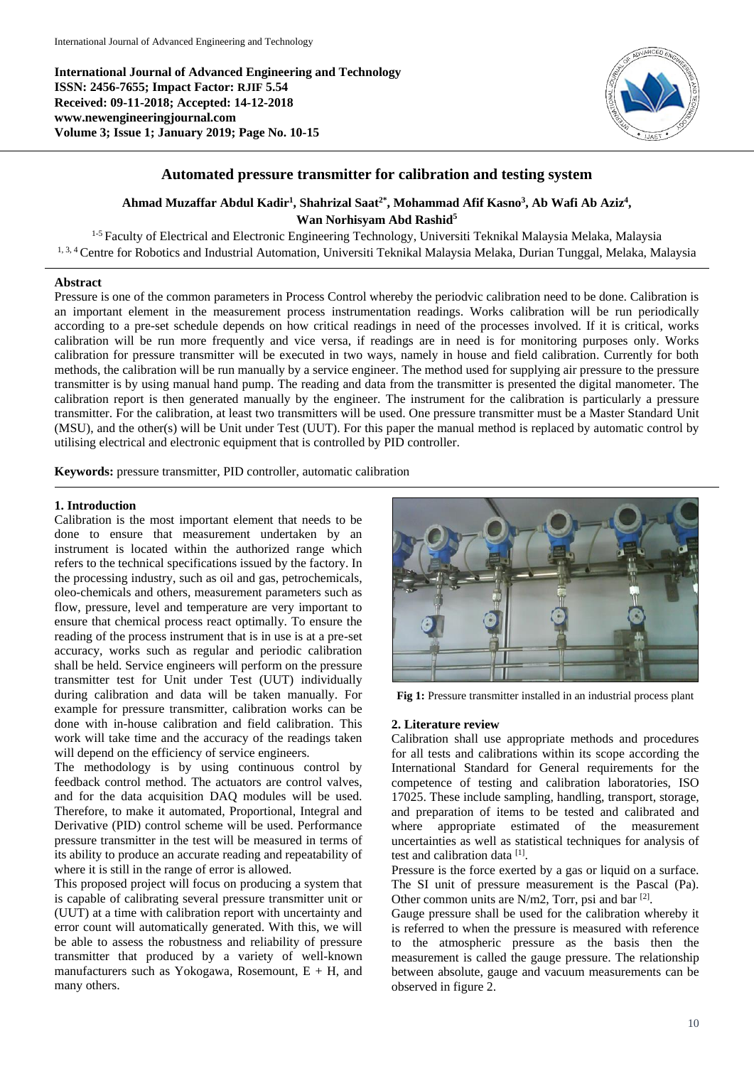**International Journal of Advanced Engineering and Technology ISSN: 2456-7655; Impact Factor: RJIF 5.54 Received: 09-11-2018; Accepted: 14-12-2018 www.newengineeringjournal.com Volume 3; Issue 1; January 2019; Page No. 10-15**



# **Automated pressure transmitter for calibration and testing system**

**Ahmad Muzaffar Abdul Kadir<sup>1</sup> , Shahrizal Saat2\*, Mohammad Afif Kasno<sup>3</sup> , Ab Wafi Ab Aziz<sup>4</sup> , Wan Norhisyam Abd Rashid<sup>5</sup>**

<sup>1-5</sup> Faculty of Electrical and Electronic Engineering Technology, Universiti Teknikal Malaysia Melaka, Malaysia <sup>1, 3, 4</sup> Centre for Robotics and Industrial Automation, Universiti Teknikal Malaysia Melaka, Durian Tunggal, Melaka, Malaysia

## **Abstract**

Pressure is one of the common parameters in Process Control whereby the periodvic calibration need to be done. Calibration is an important element in the measurement process instrumentation readings. Works calibration will be run periodically according to a pre-set schedule depends on how critical readings in need of the processes involved. If it is critical, works calibration will be run more frequently and vice versa, if readings are in need is for monitoring purposes only. Works calibration for pressure transmitter will be executed in two ways, namely in house and field calibration. Currently for both methods, the calibration will be run manually by a service engineer. The method used for supplying air pressure to the pressure transmitter is by using manual hand pump. The reading and data from the transmitter is presented the digital manometer. The calibration report is then generated manually by the engineer. The instrument for the calibration is particularly a pressure transmitter. For the calibration, at least two transmitters will be used. One pressure transmitter must be a Master Standard Unit (MSU), and the other(s) will be Unit under Test (UUT). For this paper the manual method is replaced by automatic control by utilising electrical and electronic equipment that is controlled by PID controller.

**Keywords:** pressure transmitter, PID controller, automatic calibration

## **1. Introduction**

Calibration is the most important element that needs to be done to ensure that measurement undertaken by an instrument is located within the authorized range which refers to the technical specifications issued by the factory. In the processing industry, such as oil and gas, petrochemicals, oleo-chemicals and others, measurement parameters such as flow, pressure, level and temperature are very important to ensure that chemical process react optimally. To ensure the reading of the process instrument that is in use is at a pre-set accuracy, works such as regular and periodic calibration shall be held. Service engineers will perform on the pressure transmitter test for Unit under Test (UUT) individually during calibration and data will be taken manually. For example for pressure transmitter, calibration works can be done with in-house calibration and field calibration. This work will take time and the accuracy of the readings taken will depend on the efficiency of service engineers.

The methodology is by using continuous control by feedback control method. The actuators are control valves, and for the data acquisition DAQ modules will be used. Therefore, to make it automated, Proportional, Integral and Derivative (PID) control scheme will be used. Performance pressure transmitter in the test will be measured in terms of its ability to produce an accurate reading and repeatability of where it is still in the range of error is allowed.

This proposed project will focus on producing a system that is capable of calibrating several pressure transmitter unit or (UUT) at a time with calibration report with uncertainty and error count will automatically generated. With this, we will be able to assess the robustness and reliability of pressure transmitter that produced by a variety of well-known manufacturers such as Yokogawa, Rosemount,  $E + H$ , and many others.



**Fig 1:** Pressure transmitter installed in an industrial process plant

### **2. Literature review**

Calibration shall use appropriate methods and procedures for all tests and calibrations within its scope according the International Standard for General requirements for the competence of testing and calibration laboratories, ISO 17025. These include sampling, handling, transport, storage, and preparation of items to be tested and calibrated and where appropriate estimated of the measurement uncertainties as well as statistical techniques for analysis of test and calibration data [1] .

Pressure is the force exerted by a gas or liquid on a surface. The SI unit of pressure measurement is the Pascal (Pa). Other common units are  $N/m2$ , Torr, psi and bar [2].

Gauge pressure shall be used for the calibration whereby it is referred to when the pressure is measured with reference to the atmospheric pressure as the basis then the measurement is called the gauge pressure. The relationship between absolute, gauge and vacuum measurements can be observed in figure 2.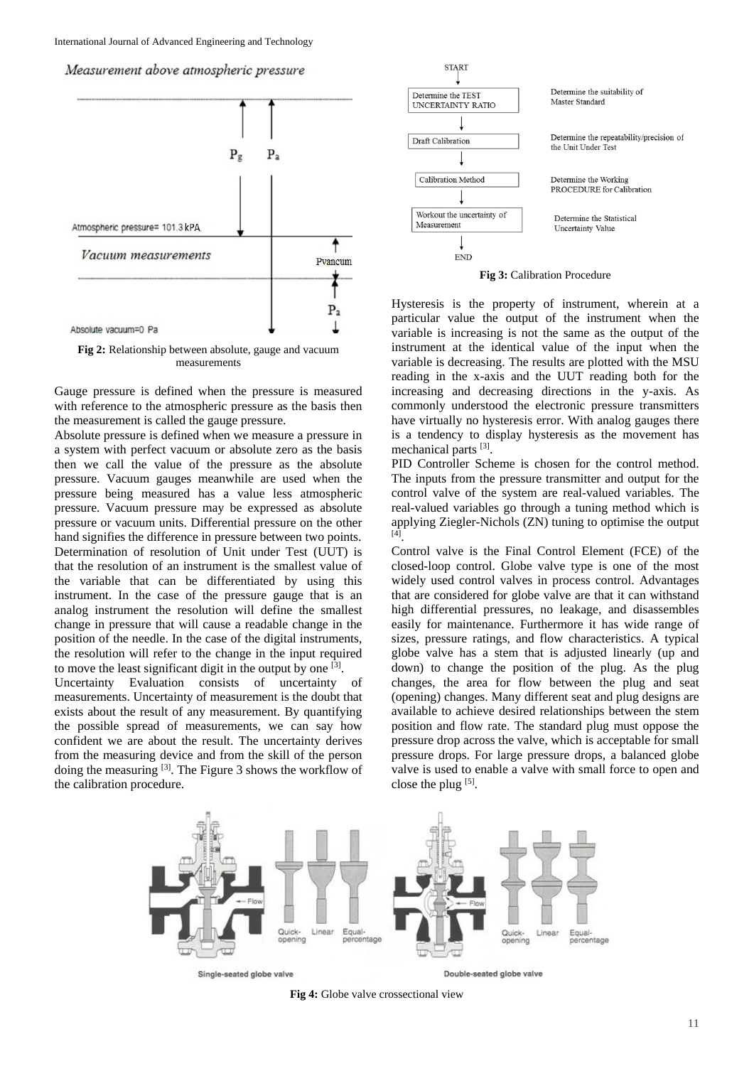



**Fig 2:** Relationship between absolute, gauge and vacuum measurements

Gauge pressure is defined when the pressure is measured with reference to the atmospheric pressure as the basis then the measurement is called the gauge pressure.

Absolute pressure is defined when we measure a pressure in a system with perfect vacuum or absolute zero as the basis then we call the value of the pressure as the absolute pressure. Vacuum gauges meanwhile are used when the pressure being measured has a value less atmospheric pressure. Vacuum pressure may be expressed as absolute pressure or vacuum units. Differential pressure on the other hand signifies the difference in pressure between two points. Determination of resolution of Unit under Test (UUT) is that the resolution of an instrument is the smallest value of the variable that can be differentiated by using this instrument. In the case of the pressure gauge that is an analog instrument the resolution will define the smallest change in pressure that will cause a readable change in the position of the needle. In the case of the digital instruments, the resolution will refer to the change in the input required to move the least significant digit in the output by one  $[3]$ .

Uncertainty Evaluation consists of uncertainty of measurements. Uncertainty of measurement is the doubt that exists about the result of any measurement. By quantifying the possible spread of measurements, we can say how confident we are about the result. The uncertainty derives from the measuring device and from the skill of the person doing the measuring <sup>[3]</sup>. The Figure 3 shows the workflow of the calibration procedure.



**Fig 3:** Calibration Procedure

Hysteresis is the property of instrument, wherein at a particular value the output of the instrument when the variable is increasing is not the same as the output of the instrument at the identical value of the input when the variable is decreasing. The results are plotted with the MSU reading in the x-axis and the UUT reading both for the increasing and decreasing directions in the y-axis. As commonly understood the electronic pressure transmitters have virtually no hysteresis error. With analog gauges there is a tendency to display hysteresis as the movement has mechanical parts [3].

PID Controller Scheme is chosen for the control method. The inputs from the pressure transmitter and output for the control valve of the system are real-valued variables. The real-valued variables go through a tuning method which is applying Ziegler-Nichols (ZN) tuning to optimise the output [4] .

Control valve is the Final Control Element (FCE) of the closed-loop control. Globe valve type is one of the most widely used control valves in process control. Advantages that are considered for globe valve are that it can withstand high differential pressures, no leakage, and disassembles easily for maintenance. Furthermore it has wide range of sizes, pressure ratings, and flow characteristics. A typical globe valve has a stem that is adjusted linearly (up and down) to change the position of the plug. As the plug changes, the area for flow between the plug and seat (opening) changes. Many different seat and plug designs are available to achieve desired relationships between the stem position and flow rate. The standard plug must oppose the pressure drop across the valve, which is acceptable for small pressure drops. For large pressure drops, a balanced globe valve is used to enable a valve with small force to open and close the plug  $[5]$ .



**Fig 4:** Globe valve crossectional view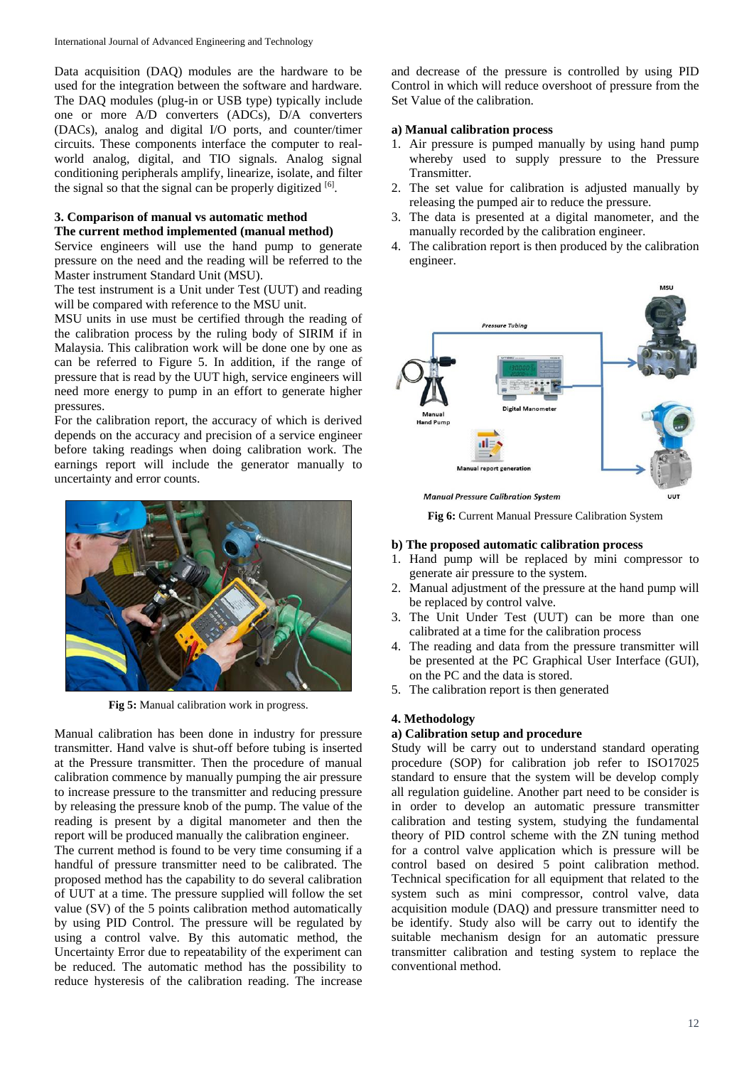Data acquisition (DAQ) modules are the hardware to be used for the integration between the software and hardware. The DAQ modules (plug-in or USB type) typically include one or more A/D converters (ADCs), D/A converters (DACs), analog and digital I/O ports, and counter/timer circuits. These components interface the computer to realworld analog, digital, and TIO signals. Analog signal conditioning peripherals amplify, linearize, isolate, and filter the signal so that the signal can be properly digitized  $[6]$ .

# **3. Comparison of manual vs automatic method The current method implemented (manual method)**

Service engineers will use the hand pump to generate pressure on the need and the reading will be referred to the Master instrument Standard Unit (MSU).

The test instrument is a Unit under Test (UUT) and reading will be compared with reference to the MSU unit.

MSU units in use must be certified through the reading of the calibration process by the ruling body of SIRIM if in Malaysia. This calibration work will be done one by one as can be referred to Figure 5. In addition, if the range of pressure that is read by the UUT high, service engineers will need more energy to pump in an effort to generate higher pressures.

For the calibration report, the accuracy of which is derived depends on the accuracy and precision of a service engineer before taking readings when doing calibration work. The earnings report will include the generator manually to uncertainty and error counts.



**Fig 5:** Manual calibration work in progress.

Manual calibration has been done in industry for pressure transmitter. Hand valve is shut-off before tubing is inserted at the Pressure transmitter. Then the procedure of manual calibration commence by manually pumping the air pressure to increase pressure to the transmitter and reducing pressure by releasing the pressure knob of the pump. The value of the reading is present by a digital manometer and then the report will be produced manually the calibration engineer.

The current method is found to be very time consuming if a handful of pressure transmitter need to be calibrated. The proposed method has the capability to do several calibration of UUT at a time. The pressure supplied will follow the set value (SV) of the 5 points calibration method automatically by using PID Control. The pressure will be regulated by using a control valve. By this automatic method, the Uncertainty Error due to repeatability of the experiment can be reduced. The automatic method has the possibility to reduce hysteresis of the calibration reading. The increase

and decrease of the pressure is controlled by using PID Control in which will reduce overshoot of pressure from the Set Value of the calibration.

# **a) Manual calibration process**

- 1. Air pressure is pumped manually by using hand pump whereby used to supply pressure to the Pressure Transmitter.
- 2. The set value for calibration is adjusted manually by releasing the pumped air to reduce the pressure.
- 3. The data is presented at a digital manometer, and the manually recorded by the calibration engineer.
- 4. The calibration report is then produced by the calibration engineer.



**Fig 6:** Current Manual Pressure Calibration System

# **b) The proposed automatic calibration process**

- 1. Hand pump will be replaced by mini compressor to generate air pressure to the system.
- 2. Manual adjustment of the pressure at the hand pump will be replaced by control valve.
- 3. The Unit Under Test (UUT) can be more than one calibrated at a time for the calibration process
- 4. The reading and data from the pressure transmitter will be presented at the PC Graphical User Interface (GUI), on the PC and the data is stored.
- 5. The calibration report is then generated

# **4. Methodology**

# **a) Calibration setup and procedure**

Study will be carry out to understand standard operating procedure (SOP) for calibration job refer to ISO17025 standard to ensure that the system will be develop comply all regulation guideline. Another part need to be consider is in order to develop an automatic pressure transmitter calibration and testing system, studying the fundamental theory of PID control scheme with the ZN tuning method for a control valve application which is pressure will be control based on desired 5 point calibration method. Technical specification for all equipment that related to the system such as mini compressor, control valve, data acquisition module (DAQ) and pressure transmitter need to be identify. Study also will be carry out to identify the suitable mechanism design for an automatic pressure transmitter calibration and testing system to replace the conventional method.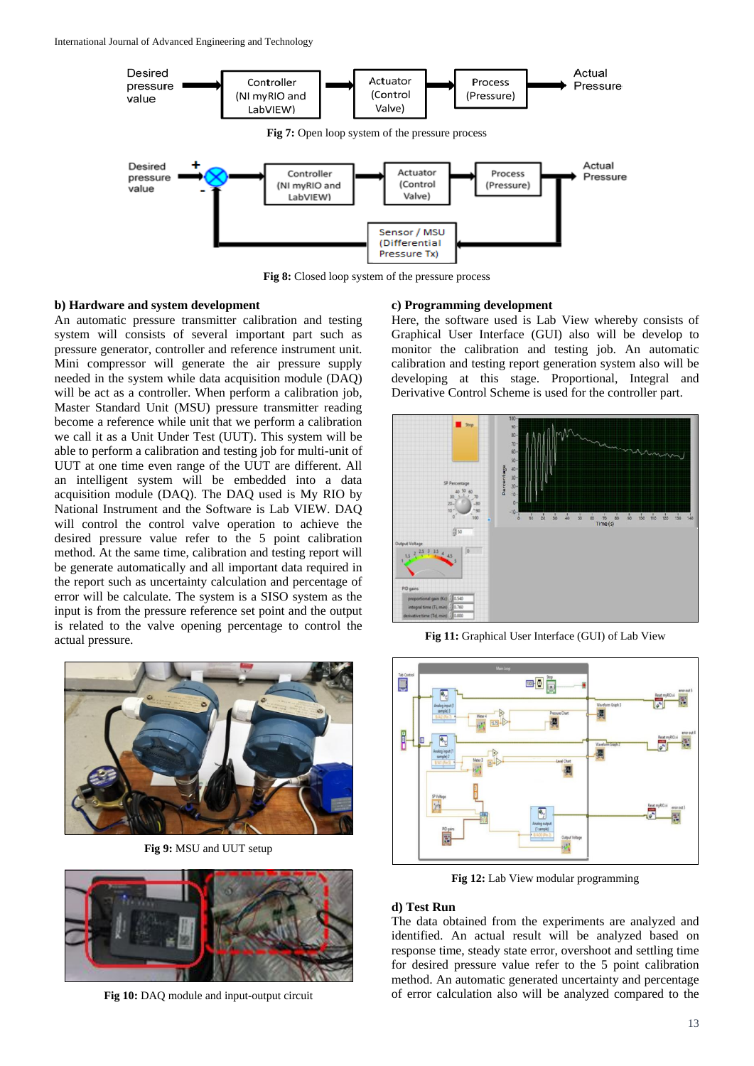International Journal of Advanced Engineering and Technology



**Fig 8:** Closed loop system of the pressure process

## **b) Hardware and system development**

An automatic pressure transmitter calibration and testing system will consists of several important part such as pressure generator, controller and reference instrument unit. Mini compressor will generate the air pressure supply needed in the system while data acquisition module (DAQ) will be act as a controller. When perform a calibration job, Master Standard Unit (MSU) pressure transmitter reading become a reference while unit that we perform a calibration we call it as a Unit Under Test (UUT). This system will be able to perform a calibration and testing job for multi-unit of UUT at one time even range of the UUT are different. All an intelligent system will be embedded into a data acquisition module (DAQ). The DAQ used is My RIO by National Instrument and the Software is Lab VIEW. DAQ will control the control valve operation to achieve the desired pressure value refer to the 5 point calibration method. At the same time, calibration and testing report will be generate automatically and all important data required in the report such as uncertainty calculation and percentage of error will be calculate. The system is a SISO system as the input is from the pressure reference set point and the output is related to the valve opening percentage to control the actual pressure.



**Fig 9:** MSU and UUT setup



**Fig 10:** DAQ module and input-output circuit

#### **c) Programming development**

Here, the software used is Lab View whereby consists of Graphical User Interface (GUI) also will be develop to monitor the calibration and testing job. An automatic calibration and testing report generation system also will be developing at this stage. Proportional, Integral and Derivative Control Scheme is used for the controller part.



**Fig 11:** Graphical User Interface (GUI) of Lab View



**Fig 12:** Lab View modular programming

## **d) Test Run**

The data obtained from the experiments are analyzed and identified. An actual result will be analyzed based on response time, steady state error, overshoot and settling time for desired pressure value refer to the 5 point calibration method. An automatic generated uncertainty and percentage of error calculation also will be analyzed compared to the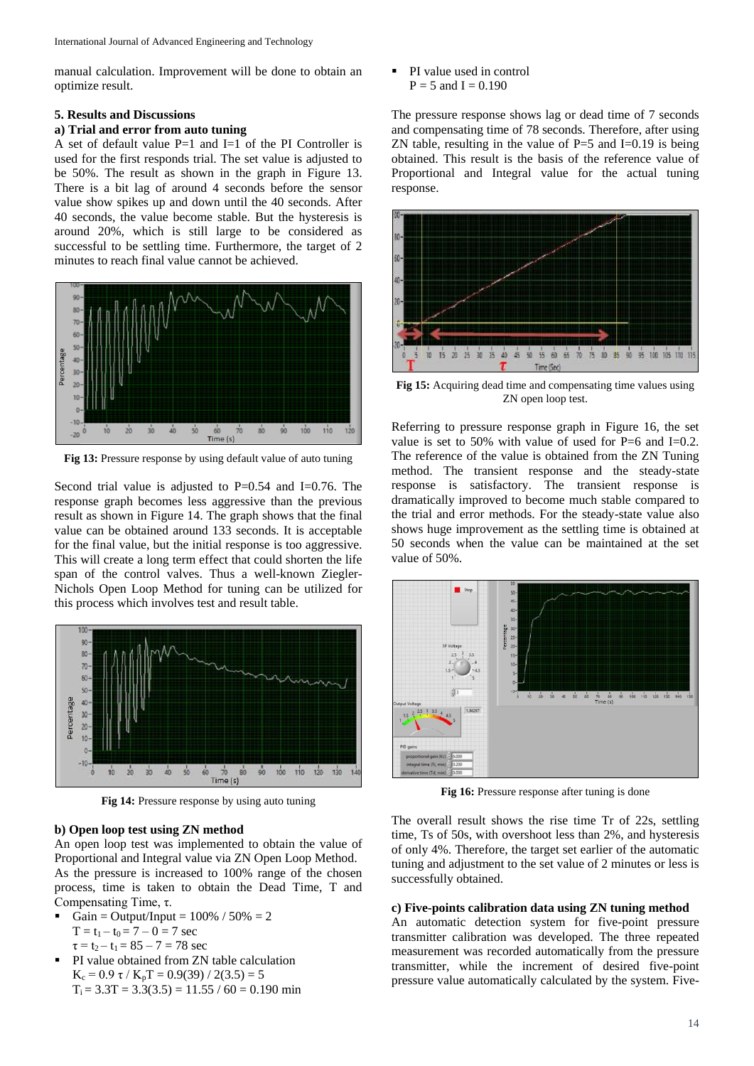manual calculation. Improvement will be done to obtain an optimize result.

## **5. Results and Discussions**

# **a) Trial and error from auto tuning**

A set of default value P=1 and I=1 of the PI Controller is used for the first responds trial. The set value is adjusted to be 50%. The result as shown in the graph in Figure 13. There is a bit lag of around 4 seconds before the sensor value show spikes up and down until the 40 seconds. After 40 seconds, the value become stable. But the hysteresis is around 20%, which is still large to be considered as successful to be settling time. Furthermore, the target of 2 minutes to reach final value cannot be achieved.



**Fig 13:** Pressure response by using default value of auto tuning

Second trial value is adjusted to  $P=0.54$  and  $I=0.76$ . The response graph becomes less aggressive than the previous result as shown in Figure 14. The graph shows that the final value can be obtained around 133 seconds. It is acceptable for the final value, but the initial response is too aggressive. This will create a long term effect that could shorten the life span of the control valves. Thus a well-known Ziegler-Nichols Open Loop Method for tuning can be utilized for this process which involves test and result table.



**Fig 14:** Pressure response by using auto tuning

### **b) Open loop test using ZN method**

An open loop test was implemented to obtain the value of Proportional and Integral value via ZN Open Loop Method. As the pressure is increased to 100% range of the chosen process, time is taken to obtain the Dead Time, T and Compensating Time, τ.

- Gain = Output/Input =  $100\%$  /  $50\%$  = 2  $T = t_1 - t_0 = 7 - 0 = 7$  sec  $\tau = t_2 - t_1 = 85 - 7 = 78$  sec
- PI value obtained from ZN table calculation K<sub>c</sub> = 0.9 τ / K<sub>p</sub>T = 0.9(39) / 2(3.5) = 5  $T_i = 3.3T = 3.3(3.5) = 11.55 / 60 = 0.190$  min

 PI value used in control  $P = 5$  and  $I = 0.190$ 

The pressure response shows lag or dead time of 7 seconds and compensating time of 78 seconds. Therefore, after using ZN table, resulting in the value of  $P=5$  and  $I=0.19$  is being obtained. This result is the basis of the reference value of Proportional and Integral value for the actual tuning response.



**Fig 15:** Acquiring dead time and compensating time values using ZN open loop test.

Referring to pressure response graph in Figure 16, the set value is set to 50% with value of used for  $P=6$  and  $I=0.2$ . The reference of the value is obtained from the ZN Tuning method. The transient response and the steady-state response is satisfactory. The transient response is dramatically improved to become much stable compared to the trial and error methods. For the steady-state value also shows huge improvement as the settling time is obtained at 50 seconds when the value can be maintained at the set value of 50%.



**Fig 16:** Pressure response after tuning is done

The overall result shows the rise time Tr of 22s, settling time, Ts of 50s, with overshoot less than 2%, and hysteresis of only 4%. Therefore, the target set earlier of the automatic tuning and adjustment to the set value of 2 minutes or less is successfully obtained.

#### **c) Five-points calibration data using ZN tuning method**

An automatic detection system for five-point pressure transmitter calibration was developed. The three repeated measurement was recorded automatically from the pressure transmitter, while the increment of desired five-point pressure value automatically calculated by the system. Five-